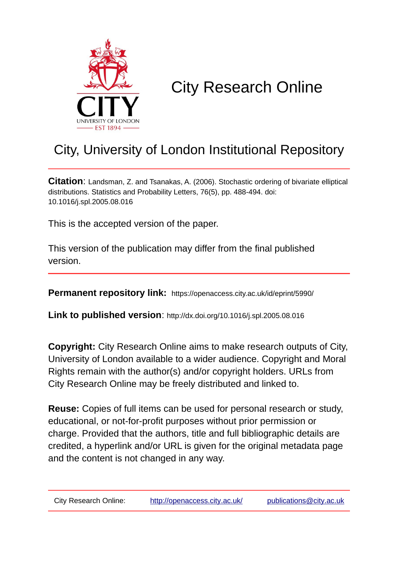

# City Research Online

# City, University of London Institutional Repository

**Citation**: Landsman, Z. and Tsanakas, A. (2006). Stochastic ordering of bivariate elliptical distributions. Statistics and Probability Letters, 76(5), pp. 488-494. doi: 10.1016/j.spl.2005.08.016

This is the accepted version of the paper.

This version of the publication may differ from the final published version.

**Permanent repository link:** https://openaccess.city.ac.uk/id/eprint/5990/

**Link to published version**: http://dx.doi.org/10.1016/j.spl.2005.08.016

**Copyright:** City Research Online aims to make research outputs of City, University of London available to a wider audience. Copyright and Moral Rights remain with the author(s) and/or copyright holders. URLs from City Research Online may be freely distributed and linked to.

**Reuse:** Copies of full items can be used for personal research or study, educational, or not-for-profit purposes without prior permission or charge. Provided that the authors, title and full bibliographic details are credited, a hyperlink and/or URL is given for the original metadata page and the content is not changed in any way.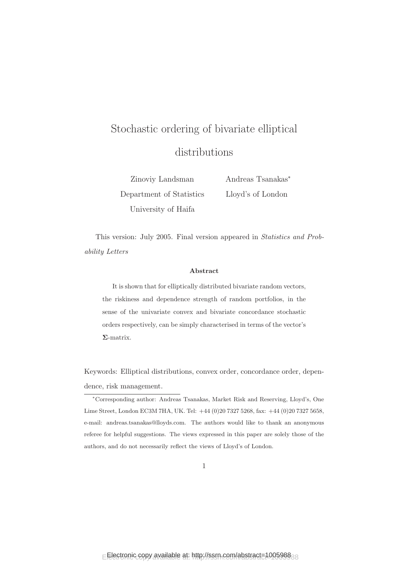# Stochastic ordering of bivariate elliptical distributions

Zinoviy Landsman Department of Statistics Andreas Tsanakas<sup>∗</sup> Lloyd's of London

University of Haifa

This version: July 2005. Final version appeared in Statistics and Probability Letters

#### Abstract

It is shown that for elliptically distributed bivariate random vectors, the riskiness and dependence strength of random portfolios, in the sense of the univariate convex and bivariate concordance stochastic orders respectively, can be simply characterised in terms of the vector's Σ-matrix.

Keywords: Elliptical distributions, convex order, concordance order, dependence, risk management.

<sup>∗</sup>Corresponding author: Andreas Tsanakas, Market Risk and Reserving, Lloyd's, One Lime Street, London EC3M 7HA, UK. Tel: +44 (0)20 7327 5268, fax: +44 (0)20 7327 5658, e-mail: andreas.tsanakas@lloyds.com. The authors would like to thank an anonymous referee for helpful suggestions. The views expressed in this paper are solely those of the authors, and do not necessarily reflect the views of Lloyd's of London.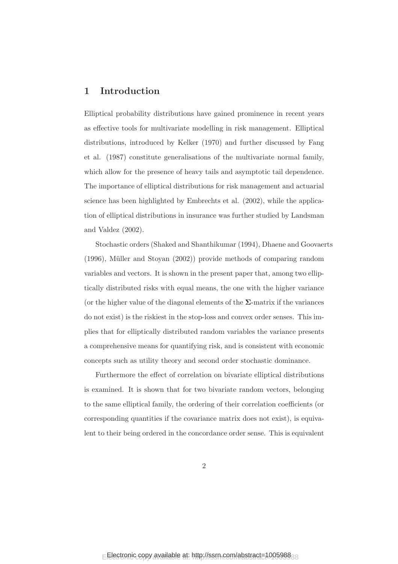# 1 Introduction

Elliptical probability distributions have gained prominence in recent years as effective tools for multivariate modelling in risk management. Elliptical distributions, introduced by Kelker (1970) and further discussed by Fang et al. (1987) constitute generalisations of the multivariate normal family, which allow for the presence of heavy tails and asymptotic tail dependence. The importance of elliptical distributions for risk management and actuarial science has been highlighted by Embrechts et al. (2002), while the application of elliptical distributions in insurance was further studied by Landsman and Valdez (2002).

Stochastic orders (Shaked and Shanthikumar (1994), Dhaene and Goovaerts  $(1996)$ , Müller and Stoyan  $(2002)$  provide methods of comparing random variables and vectors. It is shown in the present paper that, among two elliptically distributed risks with equal means, the one with the higher variance (or the higher value of the diagonal elements of the  $\Sigma$ -matrix if the variances do not exist) is the riskiest in the stop-loss and convex order senses. This implies that for elliptically distributed random variables the variance presents a comprehensive means for quantifying risk, and is consistent with economic concepts such as utility theory and second order stochastic dominance.

Furthermore the effect of correlation on bivariate elliptical distributions is examined. It is shown that for two bivariate random vectors, belonging to the same elliptical family, the ordering of their correlation coefficients (or corresponding quantities if the covariance matrix does not exist), is equivalent to their being ordered in the concordance order sense. This is equivalent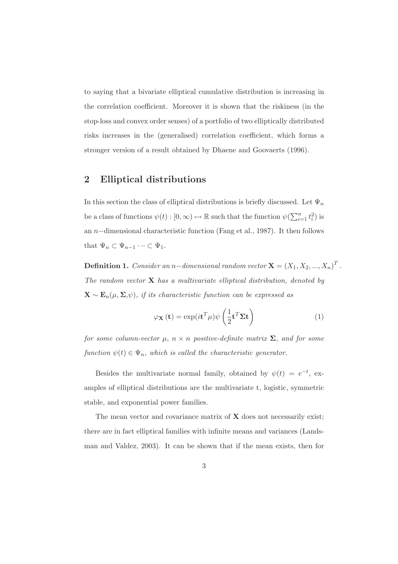to saying that a bivariate elliptical cumulative distribution is increasing in the correlation coefficient. Moreover it is shown that the riskiness (in the stop-loss and convex order senses) of a portfolio of two elliptically distributed risks increases in the (generalised) correlation coefficient, which forms a stronger version of a result obtained by Dhaene and Goovaerts (1996).

# 2 Elliptical distributions

In this section the class of elliptical distributions is briefly discussed. Let  $\Psi_n$ be a class of functions  $\psi(t): [0, \infty) \mapsto \mathbb{R}$  such that the function  $\psi(\sum_{i=1}^n t_i^2)$  is an n−dimensional characteristic function (Fang et al., 1987). It then follows that  $\Psi_n \subset \Psi_{n-1} \cdots \subset \Psi_1$ .

**Definition 1.** Consider an n–dimensional random vector  $\mathbf{X} = (X_1, X_2, ..., X_n)^T$ . The random vector  $X$  has a multivariate elliptical distribution, denoted by  $\mathbf{X} \sim \mathbf{E}_n(\mu, \Sigma, \psi)$ , if its characteristic function can be expressed as

$$
\varphi_{\mathbf{X}}\left(\mathbf{t}\right) = \exp(i\mathbf{t}^T\mu)\psi\left(\frac{1}{2}\mathbf{t}^T\mathbf{\Sigma}\mathbf{t}\right)
$$
\n(1)

for some column-vector  $\mu$ ,  $n \times n$  positive-definite matrix  $\Sigma$ , and for some function  $\psi(t) \in \Psi_n$ , which is called the characteristic generator.

Besides the multivariate normal family, obtained by  $\psi(t) = e^{-t}$ , examples of elliptical distributions are the multivariate t, logistic, symmetric stable, and exponential power families.

The mean vector and covariance matrix of  $X$  does not necessarily exist; there are in fact elliptical families with infinite means and variances (Landsman and Valdez, 2003). It can be shown that if the mean exists, then for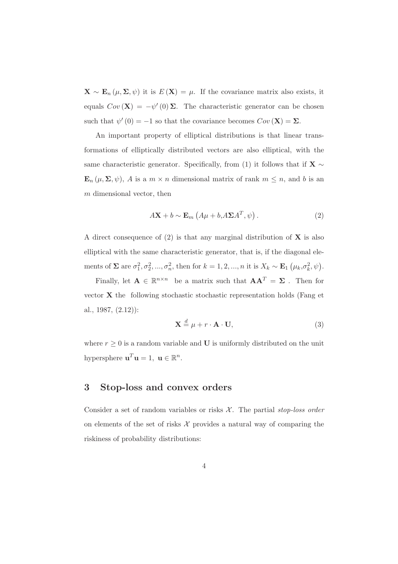$\mathbf{X} \sim \mathbf{E}_n(\mu, \Sigma, \psi)$  it is  $E(\mathbf{X}) = \mu$ . If the covariance matrix also exists, it equals  $Cov(\mathbf{X}) = -\psi'(0) \Sigma$ . The characteristic generator can be chosen such that  $\psi'(0) = -1$  so that the covariance becomes  $Cov(\mathbf{X}) = \Sigma$ .

An important property of elliptical distributions is that linear transformations of elliptically distributed vectors are also elliptical, with the same characteristic generator. Specifically, from (1) it follows that if  $X \sim$  $\mathbf{E}_n(\mu, \Sigma, \psi)$ , A is a  $m \times n$  dimensional matrix of rank  $m \leq n$ , and b is an m dimensional vector, then

$$
A\mathbf{X} + b \sim \mathbf{E}_m \left( A\mu + b, A\Sigma A^T, \psi \right). \tag{2}
$$

A direct consequence of  $(2)$  is that any marginal distribution of **X** is also elliptical with the same characteristic generator, that is, if the diagonal elements of  $\Sigma$  are  $\sigma_1^2, \sigma_2^2, ..., \sigma_n^2$ , then for  $k = 1, 2, ..., n$  it is  $X_k \sim \mathbf{E}_1\left(\mu_k, \sigma_k^2, \psi\right)$ .

Finally, let  $\mathbf{A} \in \mathbb{R}^{n \times n}$  be a matrix such that  $\mathbf{A}\mathbf{A}^T = \mathbf{\Sigma}$ . Then for vector X the following stochastic stochastic representation holds (Fang et al., 1987, (2.12)):

$$
\mathbf{X} \stackrel{d}{=} \mu + r \cdot \mathbf{A} \cdot \mathbf{U},\tag{3}
$$

where  $r \geq 0$  is a random variable and **U** is uniformly distributed on the unit hypersphere  $\mathbf{u}^T \mathbf{u} = 1$ ,  $\mathbf{u} \in \mathbb{R}^n$ .

### 3 Stop-loss and convex orders

Consider a set of random variables or risks  $X$ . The partial stop-loss order on elements of the set of risks  $\mathcal X$  provides a natural way of comparing the riskiness of probability distributions: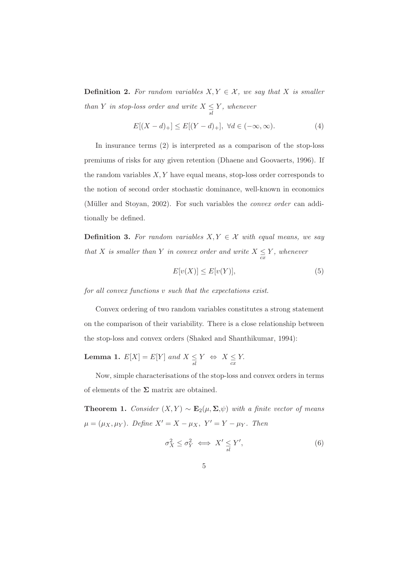**Definition 2.** For random variables  $X, Y \in \mathcal{X}$ , we say that X is smaller than Y in stop-loss order and write  $X \leq Y$ , whenever

$$
E[(X-d)_+] \le E[(Y-d)_+], \ \forall d \in (-\infty, \infty). \tag{4}
$$

In insurance terms (2) is interpreted as a comparison of the stop-loss premiums of risks for any given retention (Dhaene and Goovaerts, 1996). If the random variables  $X, Y$  have equal means, stop-loss order corresponds to the notion of second order stochastic dominance, well-known in economics (Müller and Stoyan, 2002). For such variables the *convex order* can additionally be defined.

**Definition 3.** For random variables  $X, Y \in \mathcal{X}$  with equal means, we say that X is smaller than Y in convex order and write  $X \leq Y$ , whenever

$$
E[v(X)] \le E[v(Y)],\tag{5}
$$

for all convex functions v such that the expectations exist.

Convex ordering of two random variables constitutes a strong statement on the comparison of their variability. There is a close relationship between the stop-loss and convex orders (Shaked and Shanthikumar, 1994):

**Lemma 1.**  $E[X] = E[Y]$  and  $X \leq Y \Leftrightarrow X \leq Y$ .

Now, simple characterisations of the stop-loss and convex orders in terms of elements of the  $\Sigma$  matrix are obtained.

**Theorem 1.** Consider  $(X, Y) \sim \mathbf{E}_2(\mu, \Sigma, \psi)$  with a finite vector of means  $\mu = (\mu_X, \mu_Y)$ . Define  $X' = X - \mu_X$ ,  $Y' = Y - \mu_Y$ . Then

$$
\sigma_X^2 \le \sigma_Y^2 \iff X' \le Y',\tag{6}
$$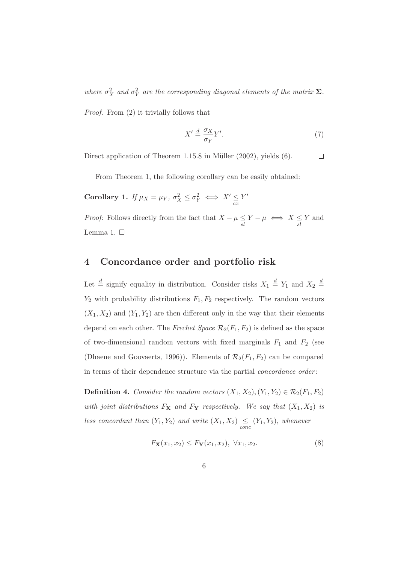where  $\sigma_X^2$  and  $\sigma_Y^2$  are the corresponding diagonal elements of the matrix  $\Sigma$ .

Proof. From (2) it trivially follows that

$$
X' \stackrel{d}{=} \frac{\sigma_X}{\sigma_Y} Y'.\tag{7}
$$

Direct application of Theorem  $1.15.8$  in Müller  $(2002)$ , yields  $(6)$ .

 $\Box$ 

From Theorem 1, the following corollary can be easily obtained:

Corollary 1. If  $\mu_X = \mu_Y$ ,  $\sigma_X^2 \leq \sigma_Y^2 \iff X' \leq Y'$ 

*Proof:* Follows directly from the fact that  $X - \mu \leq Y - \mu \iff X \leq Y$  and Lemma 1.  $\Box$ 

### 4 Concordance order and portfolio risk

Let  $\stackrel{d}{=}$  signify equality in distribution. Consider risks  $X_1 \stackrel{d}{=} Y_1$  and  $X_2 \stackrel{d}{=}$  $Y_2$  with probability distributions  $F_1, F_2$  respectively. The random vectors  $(X_1, X_2)$  and  $(Y_1, Y_2)$  are then different only in the way that their elements depend on each other. The Frechet Space  $\mathcal{R}_2(F_1, F_2)$  is defined as the space of two-dimensional random vectors with fixed marginals  $F_1$  and  $F_2$  (see (Dhaene and Goovaerts, 1996)). Elements of  $\mathcal{R}_2(F_1, F_2)$  can be compared in terms of their dependence structure via the partial *concordance order*:

**Definition 4.** Consider the random vectors  $(X_1, X_2), (Y_1, Y_2) \in \mathcal{R}_2(F_1, F_2)$ with joint distributions  $F_X$  and  $F_Y$  respectively. We say that  $(X_1, X_2)$  is less concordant than  $(Y_1, Y_2)$  and write  $(X_1, X_2) \le (Y_1, Y_2)$ , whenever

$$
F_{\mathbf{X}}(x_1, x_2) \leq F_{\mathbf{Y}}(x_1, x_2), \ \forall x_1, x_2. \tag{8}
$$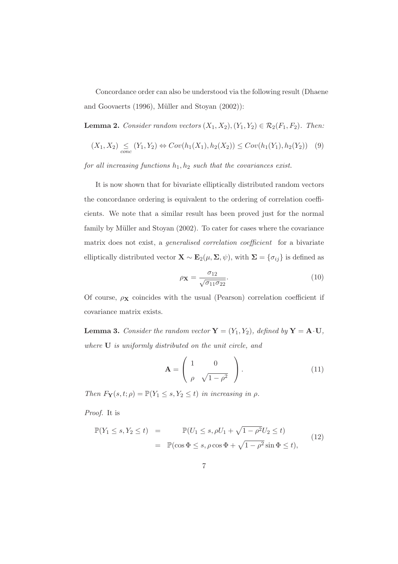Concordance order can also be understood via the following result (Dhaene and Goovaerts  $(1996)$ , Müller and Stoyan  $(2002)$ :

**Lemma 2.** Consider random vectors  $(X_1, X_2), (Y_1, Y_2) \in \mathcal{R}_2(F_1, F_2)$ . Then:

$$
(X_1, X_2) \leq (Y_1, Y_2) \Leftrightarrow Cov(h_1(X_1), h_2(X_2)) \leq Cov(h_1(Y_1), h_2(Y_2)) \quad (9)
$$

for all increasing functions  $h_1, h_2$  such that the covariances exist.

It is now shown that for bivariate elliptically distributed random vectors the concordance ordering is equivalent to the ordering of correlation coefficients. We note that a similar result has been proved just for the normal family by Müller and Stoyan (2002). To cater for cases where the covariance matrix does not exist, a generalised correlation coefficient for a bivariate elliptically distributed vector  $\mathbf{X} \sim \mathbf{E}_2(\mu, \Sigma, \psi)$ , with  $\Sigma = {\sigma_{ij}}$  is defined as

$$
\rho \mathbf{x} = \frac{\sigma_{12}}{\sqrt{\sigma_{11} \sigma_{22}}}.
$$
\n(10)

Of course,  $\rho$ **x** coincides with the usual (Pearson) correlation coefficient if covariance matrix exists.

**Lemma 3.** Consider the random vector  $\mathbf{Y} = (Y_1, Y_2)$ , defined by  $\mathbf{Y} = \mathbf{A} \cdot \mathbf{U}$ , where U is uniformly distributed on the unit circle, and

$$
\mathbf{A} = \begin{pmatrix} 1 & 0 \\ \rho & \sqrt{1 - \rho^2} \end{pmatrix} . \tag{11}
$$

Then  $F_Y(s, t; \rho) = \mathbb{P}(Y_1 \leq s, Y_2 \leq t)$  in increasing in  $\rho$ .

Proof. It is

$$
\mathbb{P}(Y_1 \le s, Y_2 \le t) = \mathbb{P}(U_1 \le s, \rho U_1 + \sqrt{1 - \rho^2} U_2 \le t)
$$
  
= 
$$
\mathbb{P}(\cos \Phi \le s, \rho \cos \Phi + \sqrt{1 - \rho^2} \sin \Phi \le t),
$$
 (12)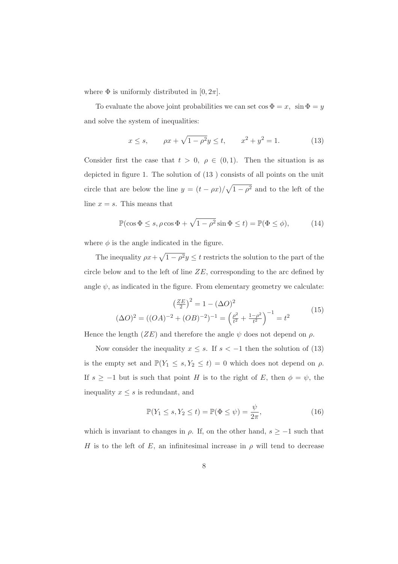where  $\Phi$  is uniformly distributed in  $[0, 2\pi]$ .

To evaluate the above joint probabilities we can set  $\cos \Phi = x$ ,  $\sin \Phi = y$ and solve the system of inequalities:

$$
x \le s
$$
,  $\rho x + \sqrt{1 - \rho^2} y \le t$ ,  $x^2 + y^2 = 1$ . (13)

Consider first the case that  $t > 0$ ,  $\rho \in (0, 1)$ . Then the situation is as depicted in figure 1. The solution of (13 ) consists of all points on the unit circle that are below the line  $y = (t - \rho x)/\sqrt{1 - \rho^2}$  and to the left of the line  $x = s$ . This means that

$$
\mathbb{P}(\cos \Phi \le s, \rho \cos \Phi + \sqrt{1 - \rho^2} \sin \Phi \le t) = \mathbb{P}(\Phi \le \phi),\tag{14}
$$

where  $\phi$  is the angle indicated in the figure.

The inequality  $\rho x + \sqrt{1 - \rho^2} y \le t$  restricts the solution to the part of the circle below and to the left of line  $ZE$ , corresponding to the arc defined by angle  $\psi$ , as indicated in the figure. From elementary geometry we calculate:

$$
\left(\frac{ZE}{2}\right)^2 = 1 - (\Delta O)^2
$$
  

$$
(\Delta O)^2 = ((OA)^{-2} + (OB)^{-2})^{-1} = \left(\frac{\rho^2}{t^2} + \frac{1 - \rho^2}{t^2}\right)^{-1} = t^2
$$
 (15)

Hence the length  $(ZE)$  and therefore the angle  $\psi$  does not depend on  $\rho$ .

Now consider the inequality  $x \leq s$ . If  $s < -1$  then the solution of (13) is the empty set and  $\mathbb{P}(Y_1 \leq s, Y_2 \leq t) = 0$  which does not depend on  $\rho$ . If  $s \ge -1$  but is such that point H is to the right of E, then  $\phi = \psi$ , the inequality  $x \leq s$  is redundant, and

$$
\mathbb{P}(Y_1 \le s, Y_2 \le t) = \mathbb{P}(\Phi \le \psi) = \frac{\psi}{2\pi},\tag{16}
$$

which is invariant to changes in  $\rho$ . If, on the other hand,  $s \ge -1$  such that H is to the left of E, an infinitesimal increase in  $\rho$  will tend to decrease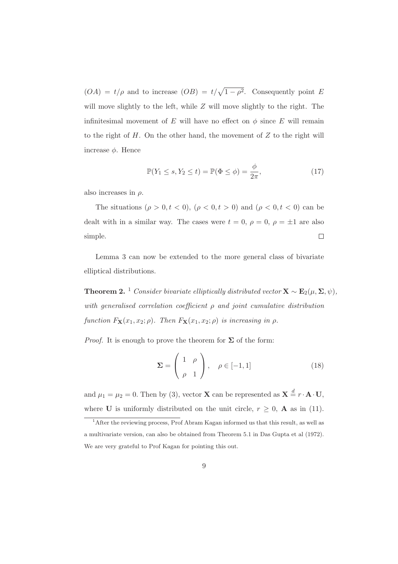$(OA) = t/\rho$  and to increase  $(OB) = t/\sqrt{1-\rho^2}$ . Consequently point E will move slightly to the left, while  $Z$  will move slightly to the right. The infinitesimal movement of E will have no effect on  $\phi$  since E will remain to the right of  $H$ . On the other hand, the movement of  $Z$  to the right will increase  $\phi$ . Hence

$$
\mathbb{P}(Y_1 \le s, Y_2 \le t) = \mathbb{P}(\Phi \le \phi) = \frac{\phi}{2\pi},\tag{17}
$$

also increases in  $\rho$ .

The situations  $(\rho > 0, t < 0)$ ,  $(\rho < 0, t > 0)$  and  $(\rho < 0, t < 0)$  can be dealt with in a similar way. The cases were  $t = 0, \rho = 0, \rho = \pm 1$  are also simple.  $\Box$ 

Lemma 3 can now be extended to the more general class of bivariate elliptical distributions.

**Theorem 2.** <sup>1</sup> Consider bivariate elliptically distributed vector  $\mathbf{X} \sim \mathbf{E}_2(\mu, \Sigma, \psi)$ , with generalised correlation coefficient  $\rho$  and joint cumulative distribution function  $F_{\mathbf{X}}(x_1, x_2; \rho)$ . Then  $F_{\mathbf{X}}(x_1, x_2; \rho)$  is increasing in  $\rho$ .

*Proof.* It is enough to prove the theorem for  $\Sigma$  of the form:

$$
\Sigma = \begin{pmatrix} 1 & \rho \\ \rho & 1 \end{pmatrix}, \quad \rho \in [-1, 1] \tag{18}
$$

and  $\mu_1 = \mu_2 = 0$ . Then by (3), vector **X** can be represented as  $\mathbf{X} \stackrel{d}{=} r \cdot \mathbf{A} \cdot \mathbf{U}$ , where **U** is uniformly distributed on the unit circle,  $r \geq 0$ , **A** as in (11).

<sup>&</sup>lt;sup>1</sup> After the reviewing process, Prof Abram Kagan informed us that this result, as well as a multivariate version, can also be obtained from Theorem 5.1 in Das Gupta et al (1972). We are very grateful to Prof Kagan for pointing this out.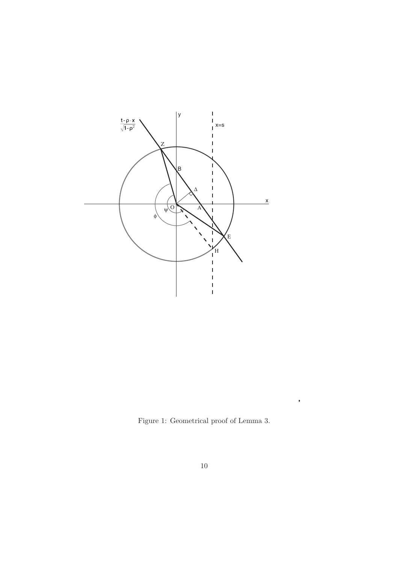

Figure 1: Geometrical proof of Lemma 3.

 $\bullet$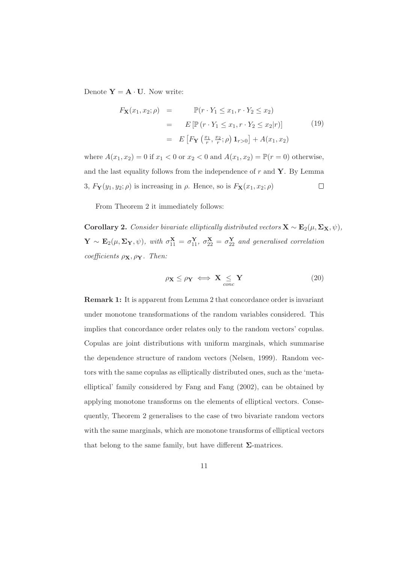Denote  $Y = A \cdot U$ . Now write:

$$
F_{\mathbf{X}}(x_1, x_2; \rho) = \mathbb{P}(r \cdot Y_1 \le x_1, r \cdot Y_2 \le x_2)
$$
  
= 
$$
E[\mathbb{P}(r \cdot Y_1 \le x_1, r \cdot Y_2 \le x_2 | r)]
$$
  
= 
$$
E\left[F_{\mathbf{Y}}\left(\frac{x_1}{r}, \frac{x_2}{r}; \rho\right) \mathbf{1}_{r>0}\right] + A(x_1, x_2)
$$
 (19)

where  $A(x_1, x_2) = 0$  if  $x_1 < 0$  or  $x_2 < 0$  and  $A(x_1, x_2) = \mathbb{P}(r = 0)$  otherwise, and the last equality follows from the independence of  $r$  and  $Y$ . By Lemma 3,  $F_Y(y_1, y_2; \rho)$  is increasing in  $\rho$ . Hence, so is  $F_X(x_1, x_2; \rho)$  $\Box$ 

From Theorem 2 it immediately follows:

Corollary 2. Consider bivariate elliptically distributed vectors  $\mathbf{X} \sim \mathbf{E}_2(\mu, \Sigma_{\mathbf{X}}, \psi)$ ,  $\mathbf{Y} \sim \mathbf{E}_2(\mu, \Sigma_Y, \psi)$ , with  $\sigma_{11}^{\mathbf{X}} = \sigma_{11}^{\mathbf{Y}}, \sigma_{22}^{\mathbf{X}} = \sigma_{22}^{\mathbf{Y}}$  and generalised correlation coefficients  $\rho_{\mathbf{X}}, \rho_{\mathbf{Y}}$ . Then:

$$
\rho_{\mathbf{X}} \leq \rho_{\mathbf{Y}} \iff \mathbf{X} \underset{cone}{\leq} \mathbf{Y} \tag{20}
$$

Remark 1: It is apparent from Lemma 2 that concordance order is invariant under monotone transformations of the random variables considered. This implies that concordance order relates only to the random vectors' copulas. Copulas are joint distributions with uniform marginals, which summarise the dependence structure of random vectors (Nelsen, 1999). Random vectors with the same copulas as elliptically distributed ones, such as the 'metaelliptical' family considered by Fang and Fang (2002), can be obtained by applying monotone transforms on the elements of elliptical vectors. Consequently, Theorem 2 generalises to the case of two bivariate random vectors with the same marginals, which are monotone transforms of elliptical vectors that belong to the same family, but have different  $\Sigma$ -matrices.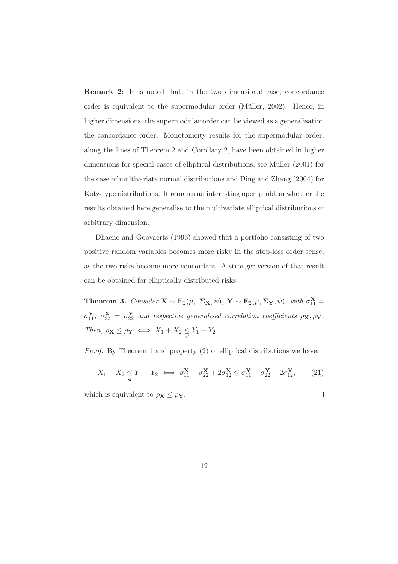Remark 2: It is noted that, in the two dimensional case, concordance order is equivalent to the supermodular order (Müller, 2002). Hence, in higher dimensions, the supermodular order can be viewed as a generalisation the concordance order. Monotonicity results for the supermodular order, along the lines of Theorem 2 and Corollary 2, have been obtained in higher dimensions for special cases of elliptical distributions; see Müller (2001) for the case of multivariate normal distributions and Ding and Zhang (2004) for Kotz-type distributions. It remains an interesting open problem whether the results obtained here generalise to the multivariate elliptical distributions of arbitrary dimension.

Dhaene and Goovaerts (1996) showed that a portfolio consisting of two positive random variables becomes more risky in the stop-loss order sense, as the two risks become more concordant. A stronger version of that result can be obtained for elliptically distributed risks:

**Theorem 3.** Consider  $\mathbf{X} \sim \mathbf{E}_2(\mu, \Sigma_{\mathbf{X}}, \psi)$ ,  $\mathbf{Y} \sim \mathbf{E}_2(\mu, \Sigma_{\mathbf{Y}}, \psi)$ , with  $\sigma_{11}^{\mathbf{X}} =$  $\sigma_{11}^{\mathbf{Y}}, \ \sigma_{22}^{\mathbf{X}} = \sigma_{22}^{\mathbf{Y}}$  and respective generalised correlation coefficients  $\rho_{\mathbf{X}}, \rho_{\mathbf{Y}}$ . Then,  $\rho \mathbf{x} \leq \rho \mathbf{y} \iff X_1 + X_2 \leq Y_1 + Y_2$ .

Proof. By Theorem 1 and property (2) of elliptical distributions we have:

$$
X_1 + X_2 \le Y_1 + Y_2 \iff \sigma_{11}^{\mathbf{X}} + \sigma_{22}^{\mathbf{X}} + 2\sigma_{12}^{\mathbf{X}} \le \sigma_{11}^{\mathbf{Y}} + \sigma_{22}^{\mathbf{Y}} + 2\sigma_{12}^{\mathbf{Y}},\tag{21}
$$

 $\Box$ 

which is equivalent to  $\rho_{\mathbf{X}} \leq \rho_{\mathbf{Y}}$ .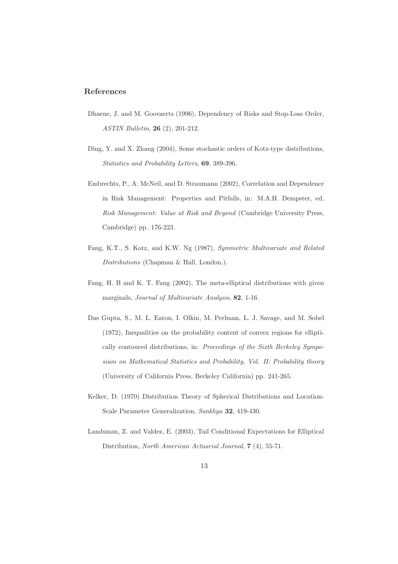#### References

- Dhaene, J. and M. Goovaerts (1996), Dependency of Risks and Stop-Loss Order, ASTIN Bulletin, 26 (2), 201-212.
- Ding, Y. and X. Zhang (2004), Some stochastic orders of Kotz-type distributions, Statistics and Probability Letters, 69, 389-396.
- Embrechts, P., A. McNeil, and D. Straumann (2002), Correlation and Dependence in Risk Management: Properties and Pitfalls, in: M.A.H. Dempster, ed. Risk Management: Value at Risk and Beyond (Cambridge University Press, Cambridge) pp. 176-223.
- Fang, K.T., S. Kotz, and K.W. Ng (1987), Symmetric Multivariate and Related Distributions (Chapman & Hall, London.).
- Fang, H. B and K. T. Fang (2002), The meta-elliptical distributions with given marginals, Journal of Multivariate Analysis, 82, 1-16.
- Das Gupta, S., M. L. Eaton, I. Olkin, M. Perlman, L. J. Savage, and M. Sobel (1972), Inequalities on the probability content of convex regions for elliptically contoured distributions, in: Proceedings of the Sixth Berkeley Symposium on Mathematical Statistics and Probability, Vol. II: Probability theory (University of California Press, Berkeley California) pp. 241-265.
- Kelker, D. (1970) Distribution Theory of Spherical Distributions and Location-Scale Parameter Generalization, Sankhya 32, 419-430.
- Landsman, Z. and Valdez, E. (2003), Tail Conditional Expectations for Elliptical Distribution, North American Actuarial Journal, 7 (4), 55-71.